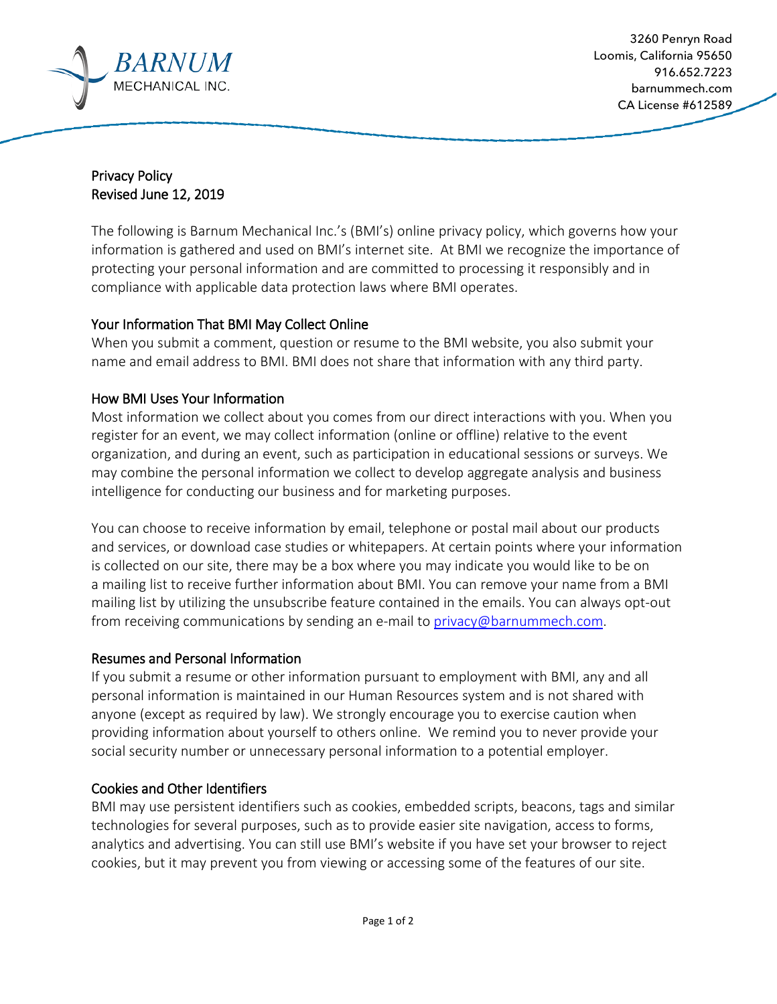

Privacy Policy Revised June 12, 2019

The following is Barnum Mechanical Inc.'s (BMI's) online privacy policy, which governs how your information is gathered and used on BMI's internet site. At BMI we recognize the importance of protecting your personal information and are committed to processing it responsibly and in compliance with applicable data protection laws where BMI operates.

# Your Information That BMI May Collect Online

When you submit a comment, question or resume to the BMI website, you also submit your name and email address to BMI. BMI does not share that information with any third party.

# How BMI Uses Your Information

Most information we collect about you comes from our direct interactions with you. When you register for an event, we may collect information (online or offline) relative to the event organization, and during an event, such as participation in educational sessions or surveys. We may combine the personal information we collect to develop aggregate analysis and business intelligence for conducting our business and for marketing purposes.

You can choose to receive information by email, telephone or postal mail about our products and services, or download case studies or whitepapers. At certain points where your information is collected on our site, there may be a box where you may indicate you would like to be on a mailing list to receive further information about BMI. You can remove your name from a BMI mailing list by utilizing the unsubscribe feature contained in the emails. You can always opt-out from receiving communications by sending an e-mail to [privacy@barnummech.com.](mailto:privacy@barnummech.com)

## Resumes and Personal Information

If you submit a resume or other information pursuant to employment with BMI, any and all personal information is maintained in our Human Resources system and is not shared with anyone (except as required by law). We strongly encourage you to exercise caution when providing information about yourself to others online. We remind you to never provide your social security number or unnecessary personal information to a potential employer.

# Cookies and Other Identifiers

BMI may use persistent identifiers such as cookies, embedded scripts, beacons, tags and similar technologies for several purposes, such as to provide easier site navigation, access to forms, analytics and advertising. You can still use BMI's website if you have set your browser to reject cookies, but it may prevent you from viewing or accessing some of the features of our site.